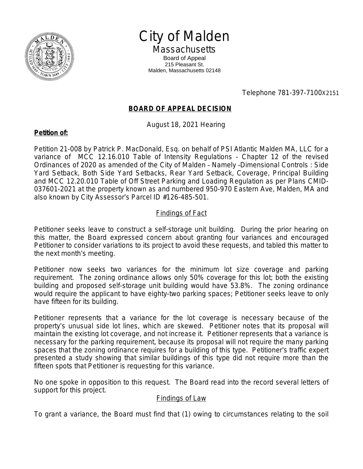

City of Malden

**Massachusetts** Board of Appeal 215 Pleasant St. Malden, Massachusetts 02148

Telephone 781-397-7100X2151

## **BOARD OF APPEAL DECISION**

August 18, 2021 Hearing

## **Petition of:**

Petition 21-008 by Patrick P. MacDonald, Esq. on behalf of PSI Atlantic Malden MA, LLC for a variance of MCC 12.16.010 Table of Intensity Regulations - Chapter 12 of the revised Ordinances of 2020 as amended of the City of Malden – Namely –Dimensional Controls : Side Yard Setback, Both Side Yard Setbacks, Rear Yard Setback, Coverage, Principal Building and MCC 12.20.010 Table of Off Street Parking and Loading Regulation as per Plans CMID-037601-2021 at the property known as and numbered 950-970 Eastern Ave, Malden, MA and also known by City Assessor's Parcel ID #126-485-501.

## Findings of Fact

Petitioner seeks leave to construct a self-storage unit building. During the prior hearing on this matter, the Board expressed concern about granting four variances and encouraged Petitioner to consider variations to its project to avoid these requests, and tabled this matter to the next month's meeting.

Petitioner now seeks two variances for the minimum lot size coverage and parking requirement. The zoning ordinance allows only 50% coverage for this lot; both the existing building and proposed self-storage unit building would have 53.8%. The zoning ordinance would require the applicant to have eighty-two parking spaces; Petitioner seeks leave to only have fifteen for its building.

Petitioner represents that a variance for the lot coverage is necessary because of the property's unusual side lot lines, which are skewed. Petitioner notes that its proposal will maintain the existing lot coverage, and not increase it. Petitioner represents that a variance is necessary for the parking requirement, because its proposal will not require the many parking spaces that the zoning ordinance requires for a building of this type. Petitioner's traffic expert presented a study showing that similar buildings of this type did not require more than the fifteen spots that Petitioner is requesting for this variance.

No one spoke in opposition to this request. The Board read into the record several letters of support for this project.

## Findings of Law

To grant a variance, the Board must find that (1) owing to circumstances relating to the soil